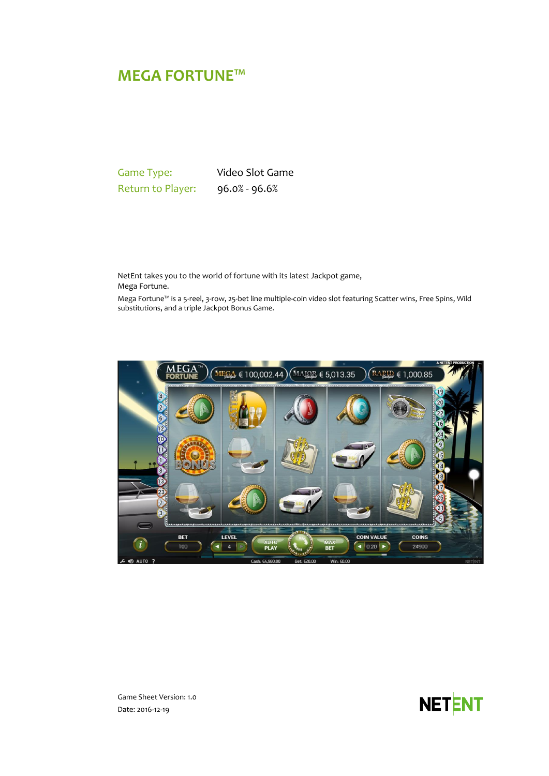# **MEGA FORTUNE™**

Game Type: Video Slot Game Return to Player: 96.0% - 96.6%

NetEnt takes you to the world of fortune with its latest Jackpot game, Mega Fortune.

Mega Fortune™ is a 5-reel, 3-row, 25-bet line multiple-coin video slot featuring Scatter wins, Free Spins, Wild substitutions, and a triple Jackpot Bonus Game.





Game Sheet Version: 1.0 Date: 2016-12-19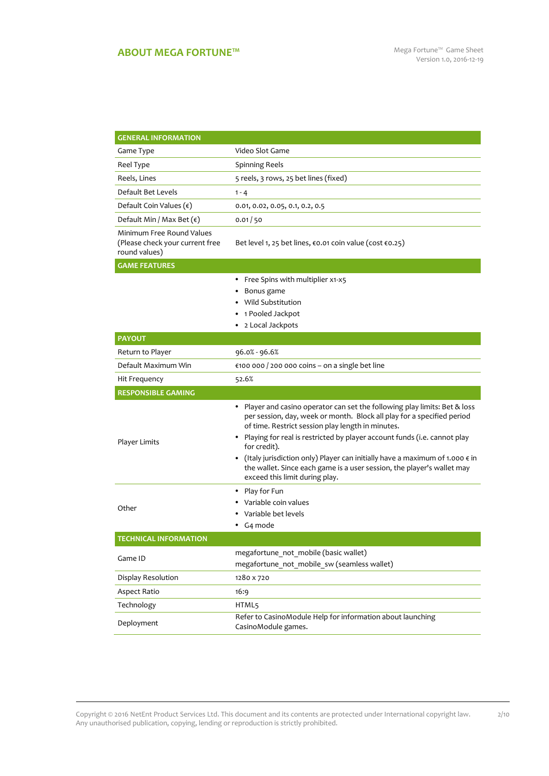## **ABOUT MEGA FORTUNE™** Mega Fortune™ Game Sheet

2/10

| <b>GENERAL INFORMATION</b>                                                    |                                                                                                                                                                                                                                                                                                                                                                                                                                                                                                                     |  |  |
|-------------------------------------------------------------------------------|---------------------------------------------------------------------------------------------------------------------------------------------------------------------------------------------------------------------------------------------------------------------------------------------------------------------------------------------------------------------------------------------------------------------------------------------------------------------------------------------------------------------|--|--|
| Game Type                                                                     | Video Slot Game                                                                                                                                                                                                                                                                                                                                                                                                                                                                                                     |  |  |
| Reel Type                                                                     | <b>Spinning Reels</b>                                                                                                                                                                                                                                                                                                                                                                                                                                                                                               |  |  |
| Reels, Lines                                                                  | 5 reels, 3 rows, 25 bet lines (fixed)                                                                                                                                                                                                                                                                                                                                                                                                                                                                               |  |  |
| Default Bet Levels                                                            | $1 - 4$                                                                                                                                                                                                                                                                                                                                                                                                                                                                                                             |  |  |
| Default Coin Values $(\epsilon)$                                              | 0.01, 0.02, 0.05, 0.1, 0.2, 0.5                                                                                                                                                                                                                                                                                                                                                                                                                                                                                     |  |  |
| Default Min / Max Bet $(\epsilon)$                                            | 0.01/50                                                                                                                                                                                                                                                                                                                                                                                                                                                                                                             |  |  |
| Minimum Free Round Values<br>(Please check your current free<br>round values) | Bet level 1, 25 bet lines, €0.01 coin value (cost €0.25)                                                                                                                                                                                                                                                                                                                                                                                                                                                            |  |  |
| <b>GAME FEATURES</b>                                                          |                                                                                                                                                                                                                                                                                                                                                                                                                                                                                                                     |  |  |
|                                                                               | Free Spins with multiplier x1-x5<br>Bonus game<br>Wild Substitution<br>1 Pooled Jackpot<br>2 Local Jackpots                                                                                                                                                                                                                                                                                                                                                                                                         |  |  |
| <b>PAYOUT</b>                                                                 |                                                                                                                                                                                                                                                                                                                                                                                                                                                                                                                     |  |  |
| Return to Player                                                              | 96.0% - 96.6%                                                                                                                                                                                                                                                                                                                                                                                                                                                                                                       |  |  |
| Default Maximum Win                                                           | €100 000 / 200 000 coins - on a single bet line                                                                                                                                                                                                                                                                                                                                                                                                                                                                     |  |  |
| Hit Frequency                                                                 | 52.6%                                                                                                                                                                                                                                                                                                                                                                                                                                                                                                               |  |  |
| <b>RESPONSIBLE GAMING</b>                                                     |                                                                                                                                                                                                                                                                                                                                                                                                                                                                                                                     |  |  |
| Player Limits                                                                 | • Player and casino operator can set the following play limits: Bet & loss<br>per session, day, week or month. Block all play for a specified period<br>of time. Restrict session play length in minutes.<br>Playing for real is restricted by player account funds (i.e. cannot play<br>٠<br>for credit).<br>(Italy jurisdiction only) Player can initially have a maximum of 1.000 $\epsilon$ in<br>٠<br>the wallet. Since each game is a user session, the player's wallet may<br>exceed this limit during play. |  |  |
| Other                                                                         | Play for Fun<br>٠<br>Variable coin values<br>Variable bet levels<br>G4 mode                                                                                                                                                                                                                                                                                                                                                                                                                                         |  |  |
| <b>TECHNICAL INFORMATION</b>                                                  |                                                                                                                                                                                                                                                                                                                                                                                                                                                                                                                     |  |  |
| Game ID                                                                       | megafortune not mobile (basic wallet)<br>megafortune not mobile sw (seamless wallet)                                                                                                                                                                                                                                                                                                                                                                                                                                |  |  |
| Display Resolution                                                            | 1280 x 720                                                                                                                                                                                                                                                                                                                                                                                                                                                                                                          |  |  |
| Aspect Ratio                                                                  | 16:9                                                                                                                                                                                                                                                                                                                                                                                                                                                                                                                |  |  |
| Technology                                                                    | HTML5                                                                                                                                                                                                                                                                                                                                                                                                                                                                                                               |  |  |
| Deployment                                                                    | Refer to CasinoModule Help for information about launching<br>CasinoModule games.                                                                                                                                                                                                                                                                                                                                                                                                                                   |  |  |

Copyright © 2016 NetEnt Product Services Ltd. This document and its contents are protected under International copyright law. Any unauthorised publication, copying, lending or reproduction is strictly prohibited.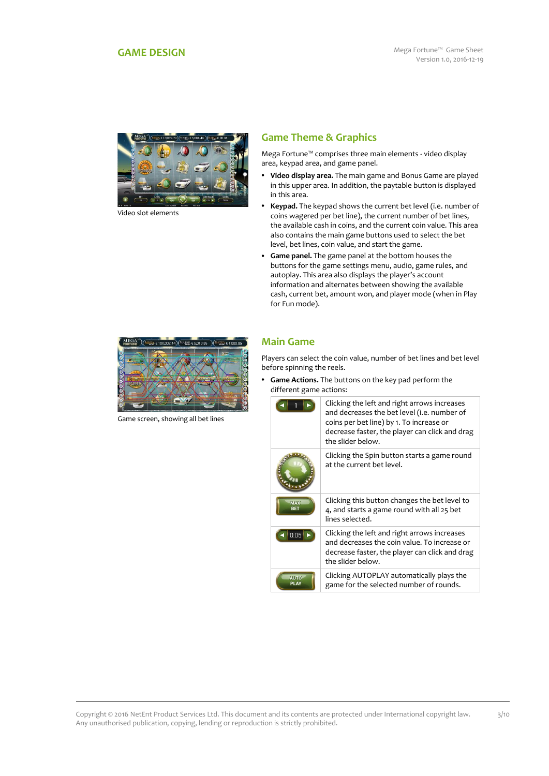<span id="page-2-0"></span>

Video slot elements

## **Game Theme & Graphics**

Mega Fortune™ comprises three main elements - video display area, keypad area, and game panel.

- **Video display area.** The main game and Bonus Game are played in this upper area. In addition, the paytable button is displayed in this area.
- **Keypad.** The keypad shows the current bet level (i.e. number of coins wagered per bet line), the current number of bet lines, the available cash in coins, and the current coin value. This area also contains the main game buttons used to select the bet level, bet lines, coin value, and start the game.
- **Game panel.** The game panel at the bottom houses the buttons for the game settings menu, audio, game rules, and autoplay. This area also displays the player's account information and alternates between showing the available cash, current bet, amount won, and player mode (when in Play for Fun mode).



Game screen, showing all bet lines

### **Main Game**

Players can select the coin value, number of bet lines and bet level before spinning the reels.

 **Game Actions.** The buttons on the key pad perform the different game actions:

|                          | Clicking the left and right arrows increases<br>and decreases the bet level (i.e. number of<br>coins per bet line) by 1. To increase or<br>decrease faster, the player can click and drag<br>the slider below. |
|--------------------------|----------------------------------------------------------------------------------------------------------------------------------------------------------------------------------------------------------------|
|                          | Clicking the Spin button starts a game round<br>at the current bet level.                                                                                                                                      |
| <b>MAX</b><br><b>BET</b> | Clicking this button changes the bet level to<br>4, and starts a game round with all 25 bet<br>lines selected.                                                                                                 |
| 0.05                     | Clicking the left and right arrows increases<br>and decreases the coin value. To increase or<br>decrease faster, the player can click and drag<br>the slider below.                                            |
| <b>AUTO</b>              | Clicking AUTOPLAY automatically plays the<br>game for the selected number of rounds.                                                                                                                           |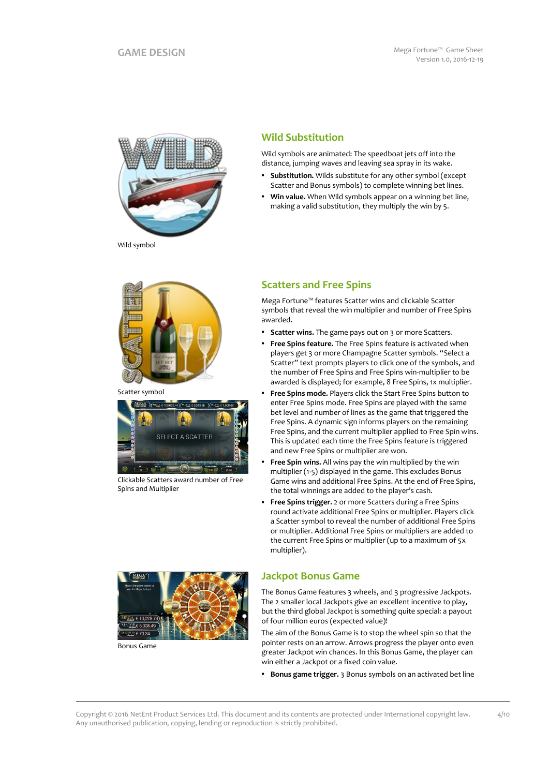

**Wild Substitution**

Wild symbols are animated: The speedboat jets off into the distance, jumping waves and leaving sea spray in its wake.

- **Substitution.** Wilds substitute for any other symbol (except Scatter and Bonus symbols) to complete winning bet lines.
- **Win value.** When Wild symbols appear on a winning bet line, making a valid substitution, they multiply the win by 5.

Wild symbol



Scatter symbol



Clickable Scatters award number of Free Spins and Multiplier

## **Scatters and Free Spins**

Mega Fortune™ features Scatter wins and clickable Scatter symbols that reveal the win multiplier and number of Free Spins awarded.

- **Scatter wins.** The game pays out on 3 or more Scatters.
- **Free Spins feature.** The Free Spins feature is activated when players get 3 or more Champagne Scatter symbols. "Select a Scatter" text prompts players to click one of the symbols, and the number of Free Spins and Free Spins win-multiplier to be awarded is displayed; for example, 8 Free Spins, 1x multiplier.
- **Free Spins mode.** Players click the Start Free Spins button to enter Free Spins mode. Free Spins are played with the same bet level and number of lines as the game that triggered the Free Spins. A dynamic sign informs players on the remaining Free Spins, and the current multiplier applied to Free Spin wins. This is updated each time the Free Spins feature is triggered and new Free Spins or multiplier are won.
- **Free Spin wins.** All wins pay the win multiplied by the win multiplier (1-5) displayed in the game. This excludes Bonus Game wins and additional Free Spins. At the end of Free Spins, the total winnings are added to the player's cash.
- **Free Spins trigger.** 2 or more Scatters during a Free Spins round activate additional Free Spins or multiplier. Players click a Scatter symbol to reveal the number of additional Free Spins or multiplier. Additional Free Spins or multipliers are added to the current Free Spins or multiplier (up to a maximum of 5x multiplier).



The Bonus Game features 3 wheels, and 3 progressive Jackpots. The 2 smaller local Jackpots give an excellent incentive to play, but the third global Jackpot is something quite special: a payout of four million euros (expected value)!

The aim of the Bonus Game is to stop the wheel spin so that the pointer rests on an arrow. Arrows progress the player onto even greater Jackpot win chances. In this Bonus Game, the player can win either a Jackpot or a fixed coin value.

**Bonus game trigger.** 3 Bonus symbols on an activated bet line



Bonus Game

Copyright © 2016 NetEnt Product Services Ltd. This document and its contents are protected under International copyright law. Any unauthorised publication, copying, lending or reproduction is strictly prohibited.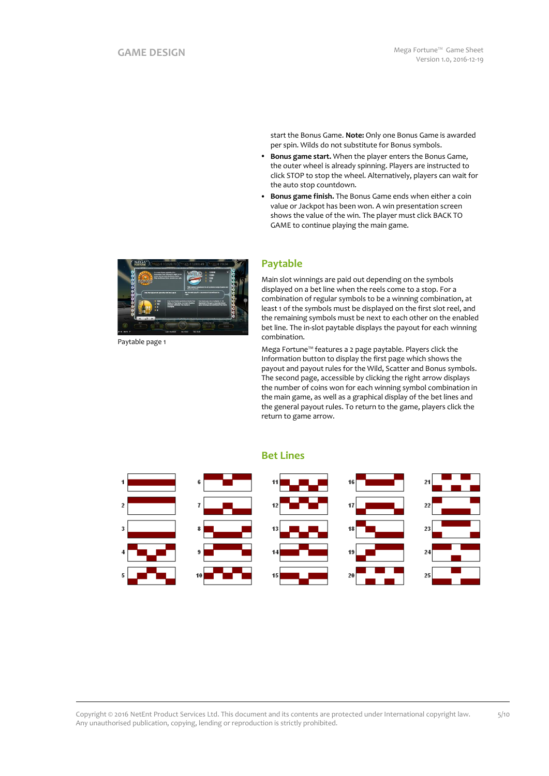start the Bonus Game. **Note:** Only one Bonus Game is awarded per spin. Wilds do not substitute for Bonus symbols.

- **Bonus game start.** When the player enters the Bonus Game, the outer wheel is already spinning. Players are instructed to click STOP to stop the wheel. Alternatively, players can wait for the auto stop countdown.
- **Bonus game finish.** The Bonus Game ends when either a coin value or Jackpot has been won. A win presentation screen shows the value of the win. The player must click BACK TO GAME to continue playing the main game.



Paytable page 1

## **Paytable**

Main slot winnings are paid out depending on the symbols displayed on a bet line when the reels come to a stop. For a combination of regular symbols to be a winning combination, at least 1 of the symbols must be displayed on the first slot reel, and the remaining symbols must be next to each other on the enabled bet line. The in-slot paytable displays the payout for each winning combination.

Mega Fortune™ features a 2 page paytable. Players click the Information button to display the first page which shows the payout and payout rules for the Wild, Scatter and Bonus symbols. The second page, accessible by clicking the right arrow displays the number of coins won for each winning symbol combination in the main game, as well as a graphical display of the bet lines and the general payout rules. To return to the game, players click the return to game arrow.



**Bet Lines**

Copyright © 2016 NetEnt Product Services Ltd. This document and its contents are protected under International copyright law. Any unauthorised publication, copying, lending or reproduction is strictly prohibited.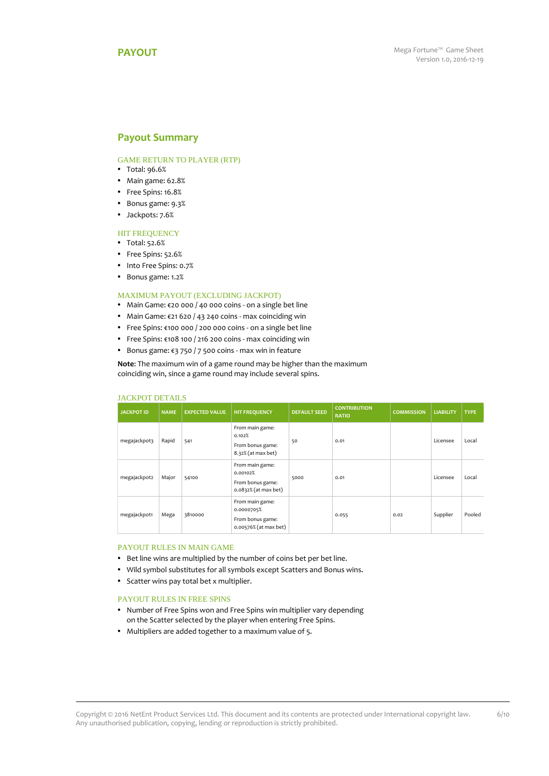### <span id="page-5-0"></span>**Payout Summary**

### GAME RETURN TO PLAYER (RTP)

- Total: 96.6%
- Main game: 62.8%
- Free Spins: 16.8%
- Bonus game: 9.3%
- Jackpots: 7.6%

#### **HIT FREQUENCY**

- Total: 52.6%
- Free Spins: 52.6%
- Into Free Spins: 0.7%
- Bonus game: 1.2%

#### MAXIMUM PAYOUT (EXCLUDING JACKPOT)

- Main Game: €20 000 / 40 000 coins on a single bet line
- Main Game: €21 620 / 43 240 coins max coinciding win
- Free Spins: €100 000 / 200 000 coins on a single bet line
- Free Spins: €108 100 / 216 200 coins max coinciding win
- Bonus game: €3 750 / 7 500 coins max win in feature

**Note**: The maximum win of a game round may be higher than the maximum coinciding win, since a game round may include several spins.

| <b>JACKPOT ID</b> | <b>NAME</b> | <b>EXPECTED VALUE</b> | <b>HIT FREQUENCY</b>                                                       | <b>DEFAULT SEED</b> | <b>CONTRIBUTION</b><br><b>RATIO</b> | <b>COMMISSION</b> | <b>LIABILITY</b> | <b>TYPE</b> |
|-------------------|-------------|-----------------------|----------------------------------------------------------------------------|---------------------|-------------------------------------|-------------------|------------------|-------------|
| megajackpot3      | Rapid       | 541                   | From main game:<br>0.102%<br>From bonus game:<br>8.32% (at max bet)        | 50                  | 0.01                                |                   | Licensee         | Local       |
| megajackpot2      | Major       | 54100                 | From main game:<br>0.00102%<br>From bonus game:<br>0.0832% (at max bet)    | 5000                | 0.01                                |                   | Licensee         | Local       |
| megajackpot1      | Mega        | 3810000               | From main game:<br>0.0000705%<br>From bonus game:<br>0.00576% (at max bet) |                     | 0.055                               | 0.02              | Supplier         | Pooled      |

#### JACKPOT DETAILS

#### PAYOUT RULES IN MAIN GAME

- Bet line wins are multiplied by the number of coins bet per bet line.
- Wild symbol substitutes for all symbols except Scatters and Bonus wins.
- Scatter wins pay total bet x multiplier.

#### PAYOUT RULES IN FREE SPINS

- Number of Free Spins won and Free Spins win multiplier vary depending on the Scatter selected by the player when entering Free Spins.
- Multipliers are added together to a maximum value of 5.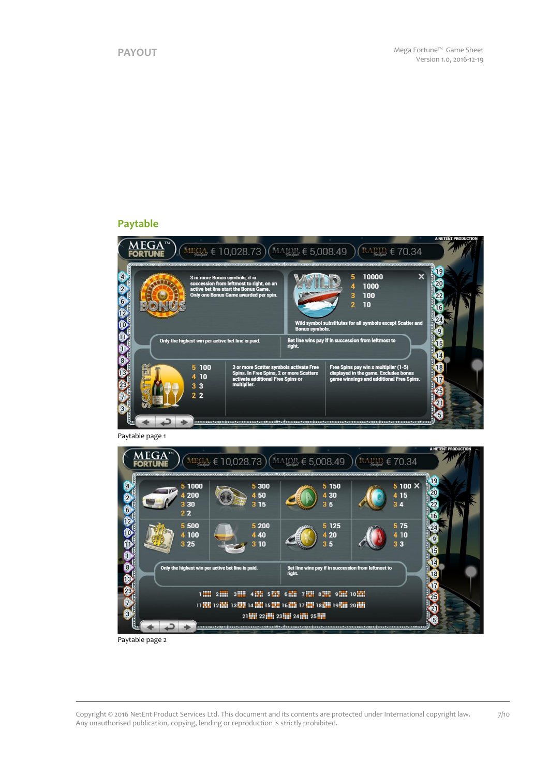## **Paytable**





Paytable page 2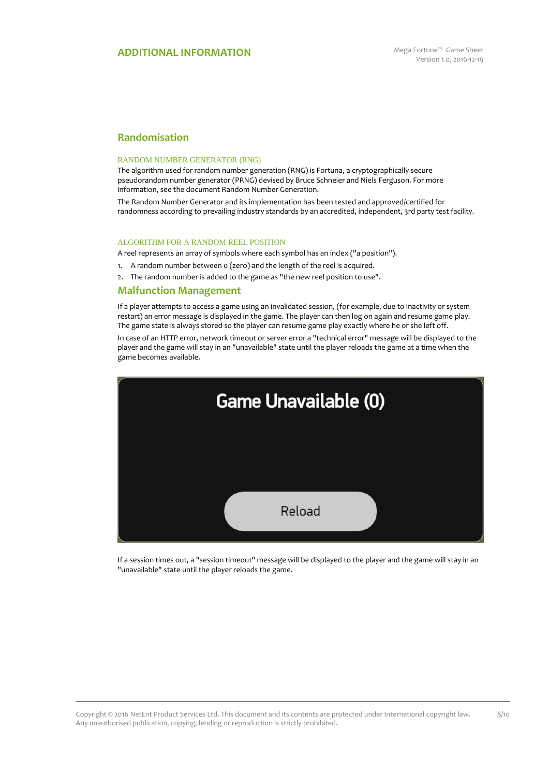## **Randomisation**

#### RANDOM NUMBER GENERATOR (RNG)

The algorithm used for random number generation (RNG) is Fortuna, a cryptographically secure pseudorandom number generator (PRNG) devised by Bruce Schneier and Niels Ferguson. For more information, see the document Random Number Generation.

The Random Number Generator and its implementation has been tested and approved/certified for randomness according to prevailing industry standards by an accredited, independent, 3rd party test facility.

#### ALGORITHM FOR A RANDOM REEL POSITION

A reel represents an array of symbols where each symbol has an index ("a position").

- 1. A random number between 0 (zero) and the length of the reel is acquired.
- 2. The random number is added to the game as "the new reel position to use".

#### **Malfunction Management**

If a player attempts to access a game using an invalidated session, (for example, due to inactivity or system restart) an error message is displayed in the game. The player can then log on again and resume game play. The game state is always stored so the player can resume game play exactly where he or she left off.

In case of an HTTP error, network timeout or server error a "technical error" message will be displayed to the player and the game will stay in an "unavailable" state until the player reloads the game at a time when the game becomes available.



If a session times out, a "session timeout" message will be displayed to the player and the game will stay in an "unavailable" state until the player reloads the game.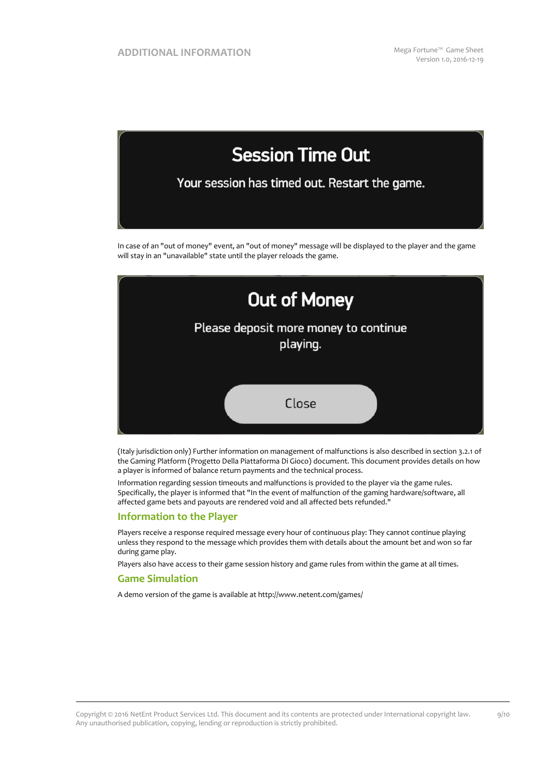

In case of an "out of money" event, an "out of money" message will be displayed to the player and the game will stay in an "unavailable" state until the player reloads the game.



(Italy jurisdiction only) Further information on management of malfunctions is also described in section 3.2.1 of the Gaming Platform (Progetto Della Piattaforma Di Gioco) document. This document provides details on how a player is informed of balance return payments and the technical process.

Information regarding session timeouts and malfunctions is provided to the player via the game rules. Specifically, the player is informed that "In the event of malfunction of the gaming hardware/software, all affected game bets and payouts are rendered void and all affected bets refunded."

#### **Information to the Player**

Players receive a response required message every hour of continuous play: They cannot continue playing unless they respond to the message which provides them with details about the amount bet and won so far during game play.

Players also have access to their game session history and game rules from within the game at all times.

#### **Game Simulation**

A demo version of the game is available at http://www.netent.com/games/